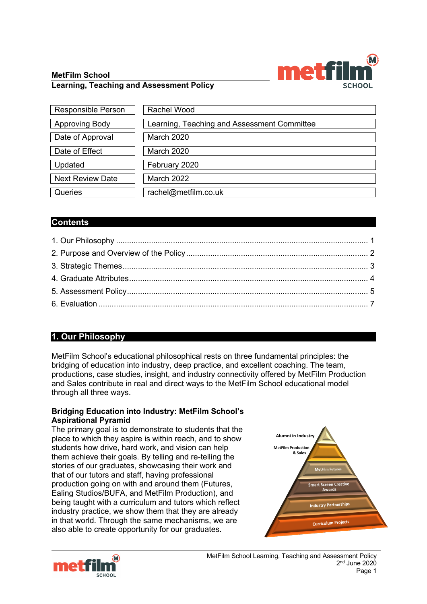### **MetFilm School**



Updated | February 2020



Next Review Date March 2022

Queries | rachel@metfilm.co.uk

# **Contents**

# **1. Our Philosophy**

MetFilm School's educational philosophical rests on three fundamental principles: the bridging of education into industry, deep practice, and excellent coaching. The team, productions, case studies, insight, and industry connectivity offered by MetFilm Production and Sales contribute in real and direct ways to the MetFilm School educational model through all three ways.

#### **Bridging Education into Industry: MetFilm School's Aspirational Pyramid**

The primary goal is to demonstrate to students that the place to which they aspire is within reach, and to show students how drive, hard work, and vision can help them achieve their goals. By telling and re-telling the stories of our graduates, showcasing their work and that of our tutors and staff, having professional production going on with and around them (Futures, Ealing Studios/BUFA, and MetFilm Production), and being taught with a curriculum and tutors which reflect industry practice, we show them that they are already in that world. Through the same mechanisms, we are also able to create opportunity for our graduates.



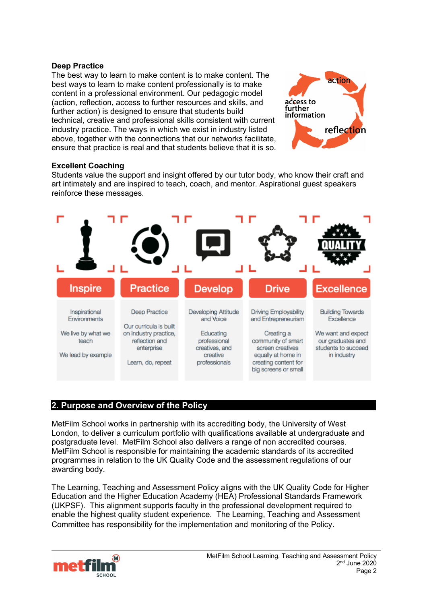#### **Deep Practice**

The best way to learn to make content is to make content. The best ways to learn to make content professionally is to make content in a professional environment. Our pedagogic model (action, reflection, access to further resources and skills, and further action) is designed to ensure that students build technical, creative and professional skills consistent with current industry practice. The ways in which we exist in industry listed above, together with the connections that our networks facilitate. ensure that practice is real and that students believe that it is so.



### **Excellent Coaching**

Students value the support and insight offered by our tutor body, who know their craft and art intimately and are inspired to teach, coach, and mentor. Aspirational guest speakers reinforce these messages.



# **2. Purpose and Overview of the Policy**

MetFilm School works in partnership with its accrediting body, the University of West London, to deliver a curriculum portfolio with qualifications available at undergraduate and postgraduate level. MetFilm School also delivers a range of non accredited courses. MetFilm School is responsible for maintaining the academic standards of its accredited programmes in relation to the UK Quality Code and the assessment regulations of our awarding body.

The Learning, Teaching and Assessment Policy aligns with the UK Quality Code for Higher Education and the Higher Education Academy (HEA) Professional Standards Framework (UKPSF). This alignment supports faculty in the professional development required to enable the highest quality student experience. The Learning, Teaching and Assessment Committee has responsibility for the implementation and monitoring of the Policy.

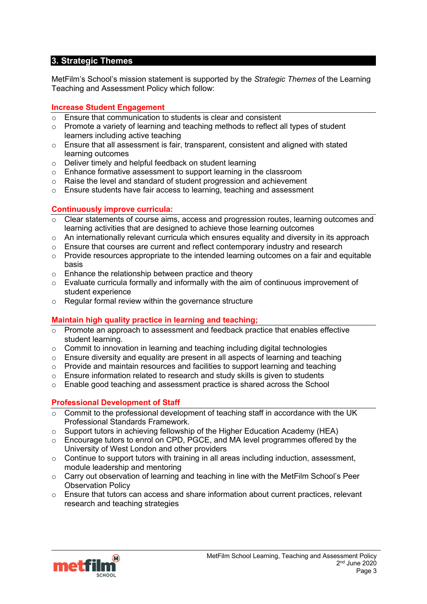# **3. Strategic Themes**

MetFilm's School's mission statement is supported by the *Strategic Themes* of the Learning Teaching and Assessment Policy which follow:

### **Increase Student Engagement**

- $\overline{\circ}$  Ensure that communication to students is clear and consistent
- $\circ$  Promote a variety of learning and teaching methods to reflect all types of student learners including active teaching
- $\circ$  Ensure that all assessment is fair, transparent, consistent and aligned with stated learning outcomes
- o Deliver timely and helpful feedback on student learning
- o Enhance formative assessment to support learning in the classroom
- o Raise the level and standard of student progression and achievement
- o Ensure students have fair access to learning, teaching and assessment

# **Continuously improve curricula:**

- $\circ$  Clear statements of course aims, access and progression routes, learning outcomes and learning activities that are designed to achieve those learning outcomes
- $\circ$  An internationally relevant curricula which ensures equality and diversity in its approach
- o Ensure that courses are current and reflect contemporary industry and research
- $\circ$  Provide resources appropriate to the intended learning outcomes on a fair and equitable basis
- o Enhance the relationship between practice and theory
- $\circ$  Evaluate curricula formally and informally with the aim of continuous improvement of student experience
- o Regular formal review within the governance structure

#### **Maintain high quality practice in learning and teaching;**

- $\overline{\circ}$  Promote an approach to assessment and feedback practice that enables effective student learning.
- $\circ$  Commit to innovation in learning and teaching including digital technologies
- o Ensure diversity and equality are present in all aspects of learning and teaching
- $\circ$  Provide and maintain resources and facilities to support learning and teaching
- $\circ$  Ensure information related to research and study skills is given to students
- $\circ$  Enable good teaching and assessment practice is shared across the School

#### **Professional Development of Staff**

- $\overline{\circ}$  Commit to the professional development of teaching staff in accordance with the UK Professional Standards Framework.
- $\circ$  Support tutors in achieving fellowship of the Higher Education Academy (HEA)
- o Encourage tutors to enrol on CPD, PGCE, and MA level programmes offered by the University of West London and other providers
- $\circ$  Continue to support tutors with training in all areas including induction, assessment, module leadership and mentoring
- o Carry out observation of learning and teaching in line with the MetFilm School's Peer Observation Policy
- $\circ$  Ensure that tutors can access and share information about current practices, relevant research and teaching strategies

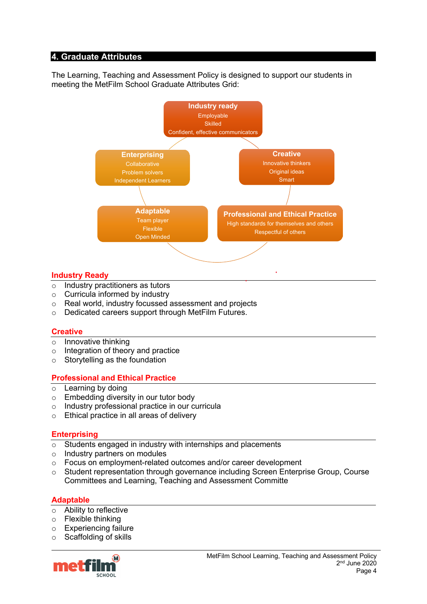### **4. Graduate Attributes**

The Learning, Teaching and Assessment Policy is designed to support our students in meeting the MetFilm School Graduate Attributes Grid:



#### **Industry Ready**

- $\overline{\circ}$  Industry practitioners as tutors
- o Curricula informed by industry
- o Real world, industry focussed assessment and projects
- o Dedicated careers support through MetFilm Futures.

#### **Creative**

- $\circ$  Innovative thinking
- o Integration of theory and practice
- $\circ$  Storytelling as the foundation

#### **Professional and Ethical Practice**

- $\circ$  Learning by doing
- o Embedding diversity in our tutor body
- o Industry professional practice in our curricula
- o Ethical practice in all areas of delivery

#### **Enterprising**

- o Students engaged in industry with internships and placements
- Industry partners on modules<br>○ Focus on employment-related
- Focus on employment-related outcomes and/or career development
- o Student representation through governance including Screen Enterprise Group, Course Committees and Learning, Teaching and Assessment Committe

# **Adaptable**

- o Ability to reflective
- o Flexible thinking
- o Experiencing failure
- o Scaffolding of skills

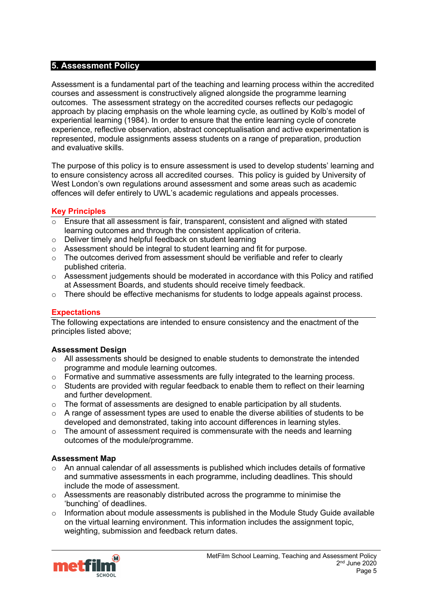### **5. Assessment Policy**

Assessment is a fundamental part of the teaching and learning process within the accredited courses and assessment is constructively aligned alongside the programme learning outcomes. The assessment strategy on the accredited courses reflects our pedagogic approach by placing emphasis on the whole learning cycle, as outlined by Kolb's model of experiential learning (1984). In order to ensure that the entire learning cycle of concrete experience, reflective observation, abstract conceptualisation and active experimentation is represented, module assignments assess students on a range of preparation, production and evaluative skills.

The purpose of this policy is to ensure assessment is used to develop students' learning and to ensure consistency across all accredited courses. This policy is guided by University of West London's own regulations around assessment and some areas such as academic offences will defer entirely to UWL's academic regulations and appeals processes.

### **Key Principles**

- $\circ$  Ensure that all assessment is fair, transparent, consistent and aligned with stated learning outcomes and through the consistent application of criteria.
- o Deliver timely and helpful feedback on student learning
- o Assessment should be integral to student learning and fit for purpose.
- $\circ$  The outcomes derived from assessment should be verifiable and refer to clearly published criteria.
- $\circ$  Assessment judgements should be moderated in accordance with this Policy and ratified at Assessment Boards, and students should receive timely feedback.
- $\circ$  There should be effective mechanisms for students to lodge appeals against process.

# **Expectations**

The following expectations are intended to ensure consistency and the enactment of the principles listed above;

#### **Assessment Design**

- $\circ$  All assessments should be designed to enable students to demonstrate the intended programme and module learning outcomes.
- $\circ$  Formative and summative assessments are fully integrated to the learning process.
- o Students are provided with regular feedback to enable them to reflect on their learning and further development.
- o The format of assessments are designed to enable participation by all students.
- $\circ$  A range of assessment types are used to enable the diverse abilities of students to be developed and demonstrated, taking into account differences in learning styles.
- $\circ$  The amount of assessment required is commensurate with the needs and learning outcomes of the module/programme.

#### **Assessment Map**

- o An annual calendar of all assessments is published which includes details of formative and summative assessments in each programme, including deadlines. This should include the mode of assessment.
- $\circ$  Assessments are reasonably distributed across the programme to minimise the 'bunching' of deadlines.
- $\circ$  Information about module assessments is published in the Module Study Guide available on the virtual learning environment. This information includes the assignment topic, weighting, submission and feedback return dates.

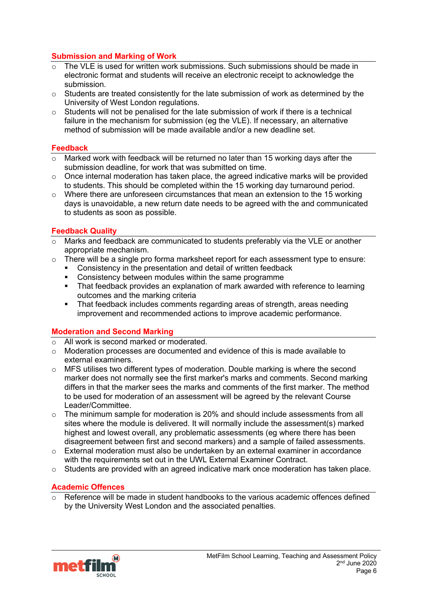# **Submission and Marking of Work**

- $\overline{\circ}$  The VLE is used for written work submissions. Such submissions should be made in electronic format and students will receive an electronic receipt to acknowledge the submission.
- $\circ$  Students are treated consistently for the late submission of work as determined by the University of West London regulations.
- $\circ$  Students will not be penalised for the late submission of work if there is a technical failure in the mechanism for submission (eg the VLE). If necessary, an alternative method of submission will be made available and/or a new deadline set.

### **Feedback**

- $\circ$  Marked work with feedback will be returned no later than 15 working days after the submission deadline, for work that was submitted on time.
- o Once internal moderation has taken place, the agreed indicative marks will be provided to students. This should be completed within the 15 working day turnaround period.
- $\circ$  Where there are unforeseen circumstances that mean an extension to the 15 working days is unavoidable, a new return date needs to be agreed with the and communicated to students as soon as possible.

# **Feedback Quality**

- $\overline{\circ}$  Marks and feedback are communicated to students preferably via the VLE or another appropriate mechanism.
- $\circ$  There will be a single pro forma marksheet report for each assessment type to ensure:
	- § Consistency in the presentation and detail of written feedback
	- Consistency between modules within the same programme
	- That feedback provides an explanation of mark awarded with reference to learning outcomes and the marking criteria
	- That feedback includes comments regarding areas of strength, areas needing improvement and recommended actions to improve academic performance.

# **Moderation and Second Marking**

- o All work is second marked or moderated.
- $\circ$  Moderation processes are documented and evidence of this is made available to external examiners.
- o MFS utilises two different types of moderation. Double marking is where the second marker does not normally see the first marker's marks and comments. Second marking differs in that the marker sees the marks and comments of the first marker. The method to be used for moderation of an assessment will be agreed by the relevant Course Leader/Committee.
- $\circ$  The minimum sample for moderation is 20% and should include assessments from all sites where the module is delivered. It will normally include the assessment(s) marked highest and lowest overall, any problematic assessments (eg where there has been disagreement between first and second markers) and a sample of failed assessments.
- $\circ$  External moderation must also be undertaken by an external examiner in accordance with the requirements set out in the UWL External Examiner Contract.
- $\circ$  Students are provided with an agreed indicative mark once moderation has taken place.

# **Academic Offences**

Reference will be made in student handbooks to the various academic offences defined by the University West London and the associated penalties.